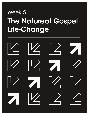# The Nature of Gospel Life-Change Week 5

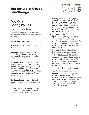# **The Nature of Gospel Life-Change**

# **Day One:**  Changing Our Functional Trust

Go to the Living FDFD website, Week Five, to listen to the audio resources for this day.

# **MESSAGE OUTLINE:**

**Question:** How does one change their life?

**Ancient Answer:** Through willpower. Try hard, discipline yourself, and put accountability and punishments in place in case of failure.

**Modern Answer:** Get real with your desires. Allow yourself to go wherever your emotions lead you. In other words, you just have to want it (life-change) enough. Like the motivational speaker said, "You can achieve anything you set your mind on. You just have to want it strong enough."

**The Gospel Answer** (as illustrated by Jesus' conversation with the woman at the well):

1. See yourself as someone who has dignity and who God considers a person worth investing in.

2. Receive the life-changing power of God (living water) as a gift. It isn't just for moral people who qualify for it–it is for all people. Note: Who is the one who can fail to receive the life-changing living water of God as a gift? Only those who insist on earning it like a wage.

**Living FDFD**

Week**5**

- 3. The power of the Gospel is the living water of Jesus(the power to change). The Gospel gives us the ability to see Jesus for who He really is. When we do that, we start to value the pardon and presence of God appropriately. This is what Gospel change is all about.
- 4. This change takes a long time–it is a process–more organic growth than mechanical. Once we are connected to the life, giving source of the Vine (Jesus), we can begin to grow into His image bearer. This is the kind of transformation that honors God and fulfills our original purpose as human beings.
- 5. This kind of change is deeply soul– satisfying. It moves us from a sense of "have to" to a sense of "want to." In other words, God changes our affections when we value Him above all other allegiances. When we value deeply that which corresponds with what God values, we are well on our way to deep, lasting, soul, satisfying Gospel life-change.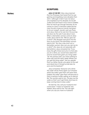#### **Notes:**

#### **SCRIPTURE :**

**John 4:1-26 NIV** |*Now Jesus learned that the Pharisees had heard that he was gaining and baptizing more disciples than John—although in fact it was not Jesus who baptized, but his disciples. So he left Judea and went back once more to Galilee. Now he had to go through Samaria. So he came to a town in Samaria called Sychar, near the plot of ground Jacob had given to his son Joseph. Jacob's well was there, and Jesus, tired as he was from the journey, sat down by the well. It was about noon. When a Samaritan woman came to draw water, Jesus said to her, "Will you give me a drink?" (His disciples had gone into the town to buy food.) The Samaritan woman said to him, "You are a Jew and I am a Samaritan woman. How can you ask me for a drink?" (For Jews do not associate with Samaritans.) Jesus answered her, "If you knew the gift of God and who it is that asks you for a drink, you would have asked him and he would have given you living water." "Sir," the woman said, "you have nothing to draw with and the well is deep. Where can you get this living water? Are you greater than our father Jacob, who gave us the well and drank from it himself, as did also his sons and his livestock?"* 

*Jesus answered, "Everyone who drinks this water will be thirsty again, but whoever drinks the water I give them will never thirst. Indeed, the water I give them will become in them a spring of water welling up to eternal life." The woman said to him, "Sir, give me this water so that I won't get thirsty and have to keep coming here to draw water."*

*He told her, "Go, call your husband and come back.""I have no husband," she replied. Jesus said to her, "You are right when you say you have no husband.*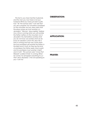*The fact is, you have had* !*ve husbands, and the man you now have is not your husband. What you have just said is quite true." "Sir," the woman said, "I can see that you are a prophet. Our ancestors worshiped on this mountain, but you Jews claim that the place where we must worship is in Jerusalem." "Woman," Jesus replied, "believe me, a time is coming when you will worship the Father neither on this mountain nor in Jerusalem. You Samaritans worship what you do not know; we worship what we do know, for salvation is from the Jews. Yet a time is coming and has now come when the true worshipers will worship the Father in the Spirit and in truth, for they are the kind of worshipers the Father seeks. God is spirit, and his worshipers must worship in Spirit and in truth." The woman said, "I know that Messiah" (called Christ) "is coming. When he comes, he will explain everything to us." Then Jesus declared, "I, the one speaking to you—I am he."*

#### **OBSERVATION:**

#### **APPLICATION:**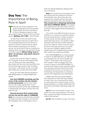# **Day Two:** The Importance of Being Poor in Spirit

There are two kinds of people in this<br>world, lost people and found people.<br>Unfortunately, we have a tendency<br>to think of people as good or bad.<br>Jesus said it clearly: "there is only one that is here are two kinds of people in this world, lost people and found people. Unfortunately, we have a tendency to think of people as good or bad. *good"* (**Matthew. 19:17 NIV**)*–* God Himself!

 So with that in mind, we want to look at what it means to be poor in spirit. This is the understanding that we are sinners in need of a Savior. It means that we admit that instead of reaching out to God for rescue, we have tried to rescue ourselves by seeking what only God can give from things and other people. **Without being "poor in spirit," we will never value God's rescue in Jesus Christ.**

So let's look at what it takes to replace the "rival gods" that we had hoped would cure our fears and insecurities. Being reconciled with the one true holy God is the first amazing step toward a life of healing and hope:– a life where we are no longer dominated by our fears and insecurities.

So far we have seen that the Gospel is BAD NEWS before it is GOOD NEWS. Let's review:

**First, God CREATED everything, and the crown of His creation was the creation of man and woman.** He not only made them in His image, giving them a very important purpose, but He also established a relationship with Adam and Eve that was built on trust.

**Second, because God created Adam and Eve, He had the right to COMMAND them**. His command was that they trust Him; that they trust Him enough to not eat from the forbidden tree. In the Garden, trust in

God was demonstrated by obeying that one command.

**Third**, Eve was lied to by the Serpent and she influenced her husband to eat from the forbidden tree. Once they ate, they experienced something they had never experienced before; they were ashamed. **They moved from a life-giving relationship with God to SPIRITUAL DEATH**. Immediately they experienced the insecurities common to all who rebel against God's leadership in their life.

One of the most difficult things to do as a Christian is to convince oneself and others that we are all sinners in need of a Savior. In other words, very few people want to admit that they have a "sin problem." Most will admit that they have made mistakes, but to be called a "sinner" is just too much for them to handle. Let's face it, to admit that we are in rebellion against God is frightening. And it's frightening because we don't want to be held accountable.

This is THE PROBLEM for so many people. In order to be RESCUED from our SIN and its consequences, we must honestly say, "I did it." "I knew that it was wrong, but I did it anyway." "Will you forgive me?" This is what it means to be POOR IN SPIRIT. It is coming to the place where we finally admit that we bring nothing to God that would compel Him to rescue us or accept us. In His kindness, He responds to our spiritual poverty with forgiveness and redemption.

If Satan was the one convincing Eve that God did not have their best interests at heart, then I am convinced that Satan is continuing to lie in order to keep us from being restored to a trusting relationship with God. The lie that Satan tells today takes two forms:

**Lie #1** To the non-Christian he says, "You are fine. You are a good person. You are, at least, as good as those Christians. You don't need to be rescued."

**Lie #2** To the Christian he says, "You have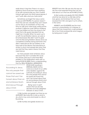really blown it big time. There is no way a righteous God would ever have anything to do with someone like you. Don't bother trying to get back into God's good graces, it won't work after what you have done."

Sometimes we forget that Jesus came to rescue LOST PEOPLE. If a person doesn't think they are lost, naturally they won't reach out for rescue. An illustration of this is the time my wife and I were body surfing off the southern California coast. Without realizing it, we had drifted out from the shore to the point that a life–guard decided that we might be in trouble. When he swam up to us with his red flotation device, we were a bit embarrassed. We didn't want to grab onto the life-saving flotation device since we considered ourselves strong swimmers who didn't need rescue. But he insisted, so we took hold of the device. That reluctance is similar to what most people feel when they are told that they need a Savior, that they need rescue.

So many people never embrace Jesus because they don't consider Him to be the answer (rescue) to what their REAL problem is. True redemption starts with us being POOR IN SPIRIT; that is, understanding that our REAL PROBLEM is SEPARATION

According to Jesus, the only people that cannot be saved are those that won't be honest about their sin and embrace God's kind rescue through Jesus Christ.

FROM GOD resulting in SPIRITUAL DEATH. All this came as a result of our willful sinful rebellion against His authority. According to Jesus, the only people that cannot be saved are those that won't be honest about their sin and embrace God's kind rescue through Jesus Christ.

Being "poor in spirit" means that we are fully devoted and fully delighted followers of Jesus Christ …

1) We humbly and gladly trust God as our AUTHORITY. We invite Him to tell us what to do, what is true, and what leads to a life of flourishing.

2) We humbly and gladly receive our

IDENTITY from Him. We are who He says we are. The most essential thing that can be said about us is that we are IN HIM (Christ).

3) We humbly and gladly DO FOR OTHERS what He has done for us. We take all the love, grace, and kindness that we have received from Him and give it out to others, in His name.

HUMILITY and GLADNESS are the most common characteristics of a follower of Jesus that has moved from a self-centered life to the Christ-centered life which begun by being poor in spirit.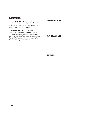## **SCRIPTURE:**

**Mark 2:17 NIV** |*On hearing this, Jesus said to them, "It is not the healthy who need a doctor, but the sick. I have not come to call the righteous, but sinners."*

**Matthew 5:1-3 NIV** | *Now when Jesus saw the crowds, he went up on a mountainside and sat down. His disciples came to him, and he began to teach them. He said: "Blessed are the poor in spirit, for theirs is the kingdom of heaven.*

## **OBSERVATION:**

## **APPLICATION:**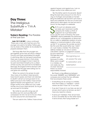# **Day Three:**

# The Irreligious Substitute  $=$  "I'm A Mistaker"

#### **Today's Reading:** The Parable of the Lost Son

**Luke 15:11-24 NIV** | *Jesus continued: "There was a man who had two sons. The younger one said to his father, 'Father, give me my share of the estate.' So he divided his property between them.*

*"Not long after that, the younger son got together all he had, set off for a distant country and there squandered his wealth in wild living. After he had spent everything, there was a severe famine in that whole country, and he began to be in need. So he went and hired himself out to a citizen of that country, who sent him to his* !*elds to feed pigs. He longed to* !*ll his stomach with the pods that the pigs were eating, but no one gave him anything.*

*"When he came to his senses, he said, 'How many of my father's hired servants have food to spare, and here I am starving to death! I will set out and go back to my father and say to him: Father, I have sinned against heaven and against you. I am no longer worthy to be called your son; make me like one of your hired servants.' So he got up and went to his father.*

*"But while he was still a long way off, his father saw him and was* !*lled with compassion for him; he ran to his son, threw his arms around him and kissed him.*

*"The son said to him, 'Father, I have sinned* 

*against heaven and against you. I am no longer worthy to be called your son.'*

*"But the father said to his servants, 'Quick! Bring the best robe and put it on him. Put a ring on his* !*nger and sandals on his feet. Bring the fattened calf and kill it. Let's have a feast and celebrate. For this son of mine was dead and is alive again; he was lost and is found.' So they began to celebrate.*

IN. It's such an abrasive word;<br>we rarely use it anymore in polite<br>company. Sin makes us think of<br>judgment. So it just feels better<br>not to use the word. In America, the word IN. It's such an abrasive word; we rarely use it anymore in polite company. Sin makes us think of judgment. So it just feels better "MISTAKER" seems preferable. The dictionary defines sin as "a transgression of divine law." Sin is a willful or deliberate violation of some religious or moral principles In other words, we did "it" on purpose. No wonder we don't like this word. We would rather say, "I didn't sin. I just made a mistake." The dictionary defines mistake as "an error in action, calculation, opinion, or judgment caused

by poor reasoning." This feels like such a better word because it's softer. When we're caught in a mistake, we can easily say, "Aw, my bad," because there's no moral responsibility involved.

Recognizing our sin paves the way to restoration and redemption

But there's a big difference between the words "SINNERS" and "MISTAKERS." Let's compare and contrast the two attitudes that accompany these words ...

- If everything we do wrong is a mistake, then that makes us "mistakers"—which means we don't have "sin" in our lives.
- If we don't have sin in our lives, we are not sinners. And if we're not sinners, we don't have any need for a Savior.
- If we're just "mistakers," then all we have to do is–do better. But on the other hand, if we're sinners, then trying harder isn't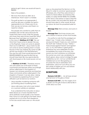going to get it done; we would all have to REPENT.

Here is the problem…

- We know that what we often do is intentional—that it wasn't a mistake.
- The guilt we feel is not appropriate if what we did was a mistake; but guilt is appropriate for sin. If there was no sin, then we are not sinners, and there's no need for a Savior.

The people who wanted to justify their sin (mistaker) did not like Jesus because He made them feel so bad, while the people who knew they were sinners loved Him. Why? Because they had taken an honest look in the mirror. In **Matthew 5:17 NIV** *"Do not think that I have come to abolish the Law or the Prophets; I have not come to abolish them but to ful*!*ll them."* Jesus insists he did not come to dumb anything down or lower the bar of the Law. Instead, He came to fulfill all that was taught in the Old Testament. This was the way Christ would become OUR RIGHTEOUSNESS. He lived the life that we should have lived. We now spend eternity with God based on His moral record, not our own.

In **Matthew 5:19 NIV** (*"Therefore anyone who sets aside one of the least of these commands and teaches others accordingly will be called least in the kingdom of heaven, but whoever practices and teaches these commands will be called great in the kingdom of heaven.")* we see Jesus raising the standard by explaining that our heart attitude is just as bad as our actions.

- Jesus equates murdering someone with just thinking about murdering them.
- Jesus calls every man who's ever looked on a woman lustfully an adulterer.

If we understand the instruction of Jesus listed above as a moral checklist that if done perfectly would qualify us for heaven, then none of us are going to be there! Jesus wanted all of us to know that obedience to the Law would never save us—He would

save us. He preached the Sermon on the Mount in order to convince "good people" (Pharisees, etc.) that they were sinners in need of a Savior. When we embrace this reality, it is really GOOD NEWS. The GOSPEL is this: God, in the person of Jesus, lived the life we couldn't live and died the death we should have died. In other words, He took our place. He took the proverbial bullet for us.

**Message One:** We're sinners, and we're in trouble.

**Message Two:** God loves sinners and sent a Savior to rescue us from that trouble.

It is worthy to note that the prodigal son doesn't say, *"I made a few mistakes; I'm young and stupid; I hope you can overlook the stuff I did."* Instead, he says, *"Father, I have sinned against heaven and against you"* (v. 21). The Father, in great grace, embraces him and celebrates his return immediately. The moral of the story: the sooner you and I embrace our sinfulness, the sooner you and I are candidates for God's grace. Jesus came to bridge the gap created by our sin—not our unintentional mistakes but our sin. Recognizing our sin paves the way to restoration and redemption. Jesus isn't put off by your sin. He's ready to forgive your sin and restore God's relationship with you.

## **SCRIPTURE:**

**Romans 3:23 NIV** | *...for all have sinned and fall short of the glory of God.*

**Romans 6:23 NIV** | *For the wages of sin is death, but the gift of God is eternal life in Christ Jesus our Lord*.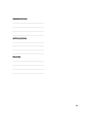# **OBSERVATION:**

 $\overline{\phantom{a}}$ 

 $\overline{\phantom{0}}$ 

 $\overline{\phantom{a}}$ 

 $\overline{\phantom{a}}$ 

 $\overline{\phantom{0}}$ 

**APPLICATION:**

<u> 1989 - Johann Barn, amerikansk politiker (d. 1989)</u>

<u> 1989 - Johann Barn, amerikansk politiker (</u>

the control of the control of the control of the control of the control of the control of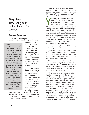# **Day Four:** The Religious Substitute = "I'm Owed"

# **Today's Reading:**

**Luke 15:25-32 NIV** *| Meanwhile, the older son was in the* !*eld. When he came* 

**NOTE** | I invite you to go to the Appendix for a discussion of The Old Covenant vs. The New Covenant. Many Christians do not understand that BLESSING was promised to Israel for faithfulness for a limited amount of time and for a very specific reason. Nor do they understand that the Mosaic Covenant was repealed and replaced by the New Covenant. When Jesus held up the Cup of the New Covenant at the Last Supper, He was proclaiming that there was now a new arrangement with the people of God.

*near the house, he heard music and dancing. So he called one of the servants and asked him what was going on. 'Your brother has come,' he replied, 'and your father has killed the fattened calf because he has him back safe and sound.'*

*"The older brother became angry and refused to go in. So his father went out and pleaded with him. But he answered his father, 'Look! All these years I've been slaving for you and never disobeyed your orders. Yet you never gave me even a young goat so I* 

*could celebrate with my friends. But when this son of yours who has squandered your property with prostitutes comes home, you kill the fattened calf for him!'*

*"'My son,' the father said, 'you are always with me, and everything I have is yours. But we had to celebrate and be glad, because this brother of yours was dead and is alive again; he was lost and is found.'"*

Sterday, you read the story Jesus<br>told about the lost son who came<br>to his senses and asked his father<br>for forgiveness. That son understood<br>his "lostness" quite well. But, there is another esterday, you read the story Jesus told about the lost son who came to his senses and asked his father for forgiveness. That son understood son, the older brother. His story has just as much to say to us. In fact, to the original listeners of this story, the religious leaders and Pharisees, Jesus' point was personal to them; they were just as lost as the younger brother. Jesus recognized that it was easy for the younger brother to understand his "lostness", but not so for the RELIGIOUS LOST–people like the Pharisees.

Some characteristics of an "Older Brother" or "The Religious Lost" are:

1) They think God will save them because of their moral goodness. The older brother thought that his father owed him because of his obedience. He wasn't like his younger brother who openly rebelled.

2) They look down on the "losers" who can't control their impulses and make a wreck of their lives. The older brother looked down on his younger brother because he felt MORALLY SUPERIOR to him. He was proud of his own righteous behavior.

3) Their goal is not to honor God with their life but to get from God what they feel He owes them (their inheritance). They obey in an attempt to obligate God. The older brother didn't really love the father; HE LOVED THE FATHER'S MONEY Therefore. he was just as lost as his younger brother. He was angry at his father for killing the fatted calf and throwing a barbecue to celebrate his brother's return home. The reason for his anger at his father's kindness and generosity was that it was going to cost him personally. All the money spent on the celebration was now not going to be his. He felt that he had a right to all of the estate;